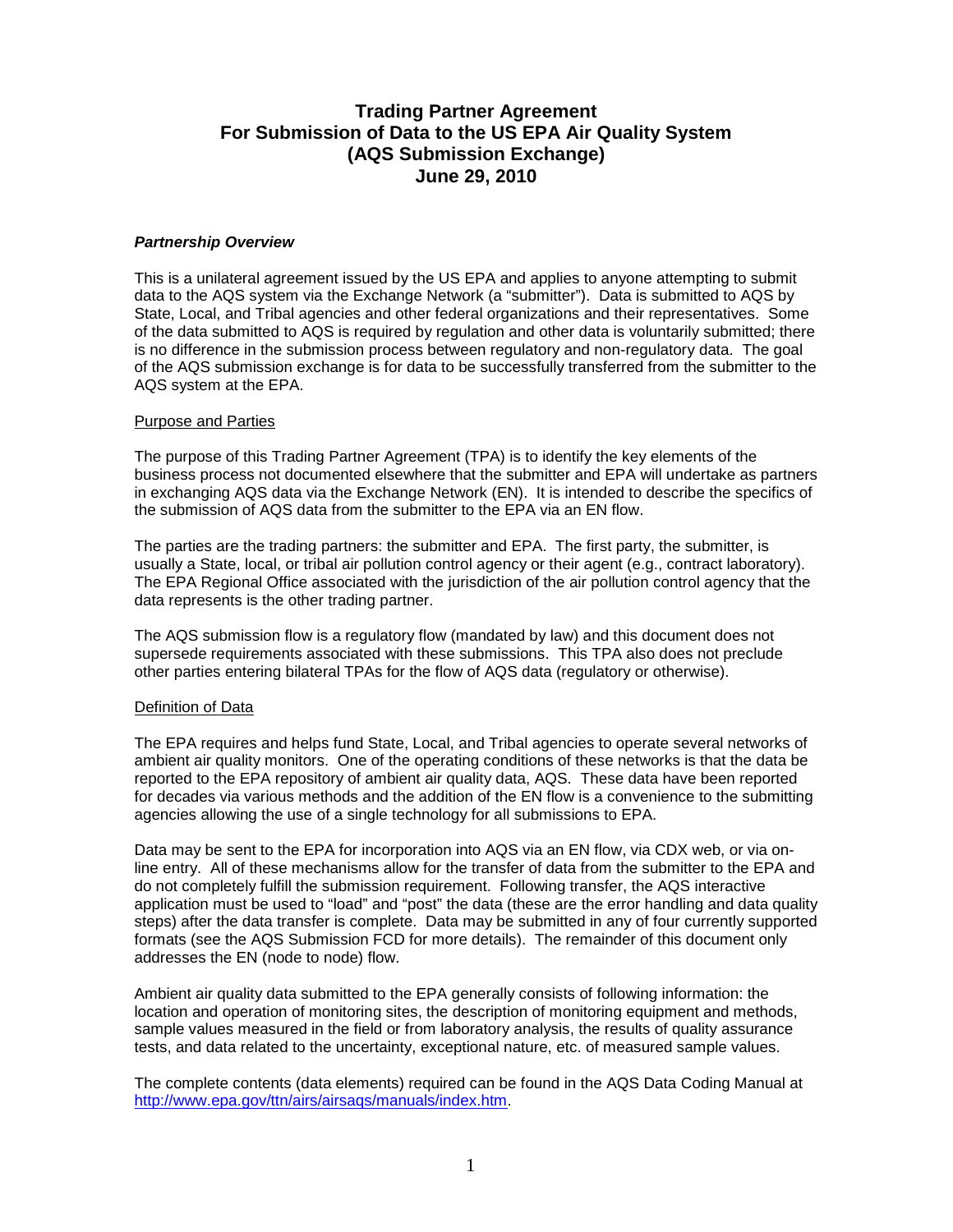# **Trading Partner Agreement For Submission of Data to the US EPA Air Quality System (AQS Submission Exchange) June 29, 2010**

### *Partnership Overview*

This is a unilateral agreement issued by the US EPA and applies to anyone attempting to submit data to the AQS system via the Exchange Network (a "submitter"). Data is submitted to AQS by State, Local, and Tribal agencies and other federal organizations and their representatives. Some of the data submitted to AQS is required by regulation and other data is voluntarily submitted; there is no difference in the submission process between regulatory and non-regulatory data. The goal of the AQS submission exchange is for data to be successfully transferred from the submitter to the AQS system at the EPA.

#### Purpose and Parties

The purpose of this Trading Partner Agreement (TPA) is to identify the key elements of the business process not documented elsewhere that the submitter and EPA will undertake as partners in exchanging AQS data via the Exchange Network (EN). It is intended to describe the specifics of the submission of AQS data from the submitter to the EPA via an EN flow.

The parties are the trading partners: the submitter and EPA. The first party, the submitter, is usually a State, local, or tribal air pollution control agency or their agent (e.g., contract laboratory). The EPA Regional Office associated with the jurisdiction of the air pollution control agency that the data represents is the other trading partner.

The AQS submission flow is a regulatory flow (mandated by law) and this document does not supersede requirements associated with these submissions. This TPA also does not preclude other parties entering bilateral TPAs for the flow of AQS data (regulatory or otherwise).

# Definition of Data

The EPA requires and helps fund State, Local, and Tribal agencies to operate several networks of ambient air quality monitors. One of the operating conditions of these networks is that the data be reported to the EPA repository of ambient air quality data, AQS. These data have been reported for decades via various methods and the addition of the EN flow is a convenience to the submitting agencies allowing the use of a single technology for all submissions to EPA.

Data may be sent to the EPA for incorporation into AQS via an EN flow, via CDX web, or via online entry. All of these mechanisms allow for the transfer of data from the submitter to the EPA and do not completely fulfill the submission requirement. Following transfer, the AQS interactive application must be used to "load" and "post" the data (these are the error handling and data quality steps) after the data transfer is complete. Data may be submitted in any of four currently supported formats (see the AQS Submission FCD for more details). The remainder of this document only addresses the EN (node to node) flow.

Ambient air quality data submitted to the EPA generally consists of following information: the location and operation of monitoring sites, the description of monitoring equipment and methods, sample values measured in the field or from laboratory analysis, the results of quality assurance tests, and data related to the uncertainty, exceptional nature, etc. of measured sample values.

The complete contents (data elements) required can be found in the AQS Data Coding Manual at [http://www.epa.gov/ttn/airs/airsaqs/manuals/index.htm.](http://www.epa.gov/ttn/airs/airsaqs/manuals/index.htm)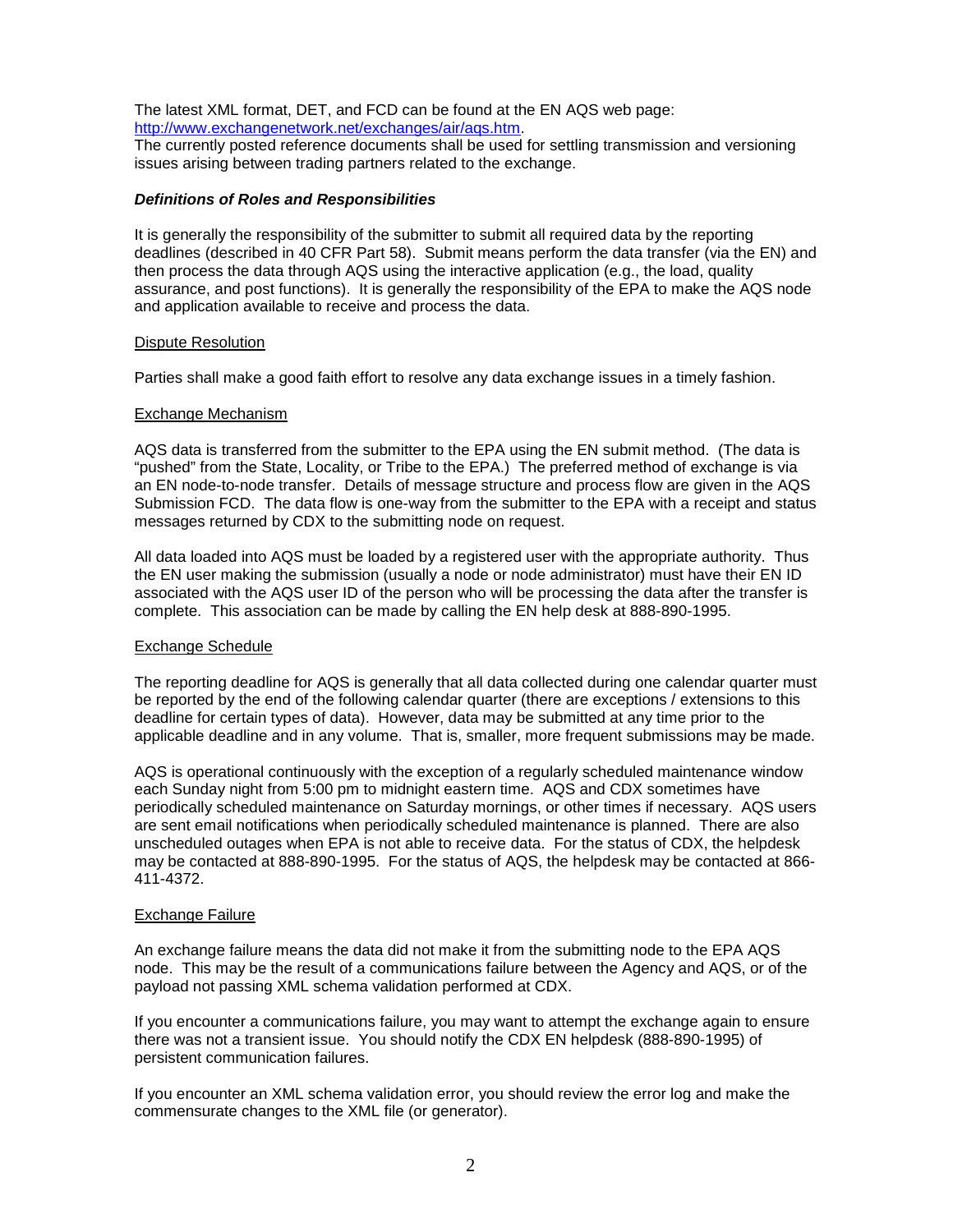The latest XML format, DET, and FCD can be found at the EN AQS web page: [http://www.exchangenetwork.net/exchanges/air/aqs.htm.](http://www.exchangenetwork.net/exchanges/air/aqs.htm)

The currently posted reference documents shall be used for settling transmission and versioning issues arising between trading partners related to the exchange.

# *Definitions of Roles and Responsibilities*

It is generally the responsibility of the submitter to submit all required data by the reporting deadlines (described in 40 CFR Part 58). Submit means perform the data transfer (via the EN) and then process the data through AQS using the interactive application (e.g., the load, quality assurance, and post functions). It is generally the responsibility of the EPA to make the AQS node and application available to receive and process the data.

# Dispute Resolution

Parties shall make a good faith effort to resolve any data exchange issues in a timely fashion.

# Exchange Mechanism

AQS data is transferred from the submitter to the EPA using the EN submit method. (The data is "pushed" from the State, Locality, or Tribe to the EPA.) The preferred method of exchange is via an EN node-to-node transfer. Details of message structure and process flow are given in the AQS Submission FCD. The data flow is one-way from the submitter to the EPA with a receipt and status messages returned by CDX to the submitting node on request.

All data loaded into AQS must be loaded by a registered user with the appropriate authority. Thus the EN user making the submission (usually a node or node administrator) must have their EN ID associated with the AQS user ID of the person who will be processing the data after the transfer is complete. This association can be made by calling the EN help desk at 888-890-1995.

# Exchange Schedule

The reporting deadline for AQS is generally that all data collected during one calendar quarter must be reported by the end of the following calendar quarter (there are exceptions / extensions to this deadline for certain types of data). However, data may be submitted at any time prior to the applicable deadline and in any volume. That is, smaller, more frequent submissions may be made.

AQS is operational continuously with the exception of a regularly scheduled maintenance window each Sunday night from 5:00 pm to midnight eastern time. AQS and CDX sometimes have periodically scheduled maintenance on Saturday mornings, or other times if necessary. AQS users are sent email notifications when periodically scheduled maintenance is planned. There are also unscheduled outages when EPA is not able to receive data. For the status of CDX, the helpdesk may be contacted at 888-890-1995. For the status of AQS, the helpdesk may be contacted at 866- 411-4372.

# Exchange Failure

An exchange failure means the data did not make it from the submitting node to the EPA AQS node. This may be the result of a communications failure between the Agency and AQS, or of the payload not passing XML schema validation performed at CDX.

If you encounter a communications failure, you may want to attempt the exchange again to ensure there was not a transient issue. You should notify the CDX EN helpdesk (888-890-1995) of persistent communication failures.

If you encounter an XML schema validation error, you should review the error log and make the commensurate changes to the XML file (or generator).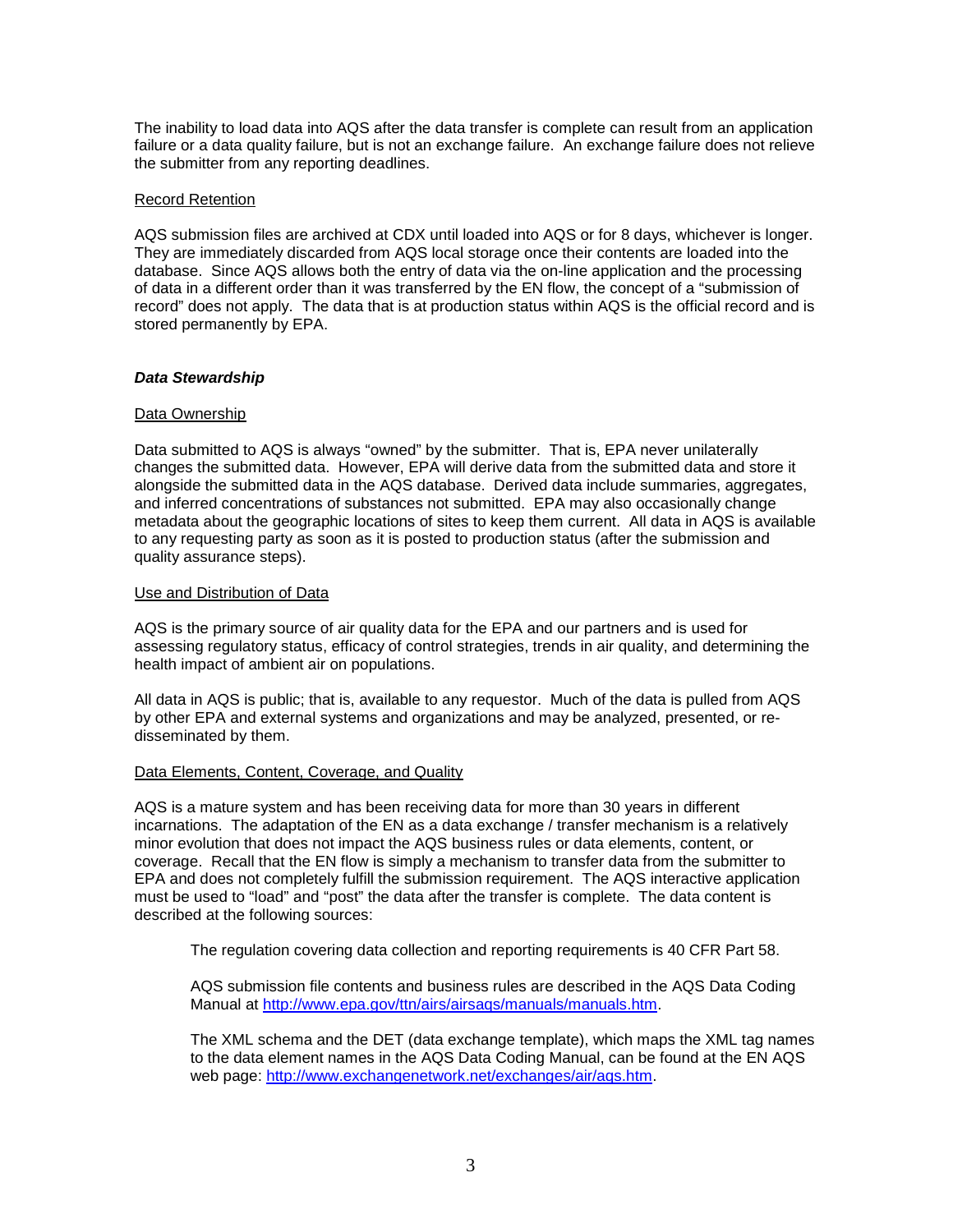The inability to load data into AQS after the data transfer is complete can result from an application failure or a data quality failure, but is not an exchange failure. An exchange failure does not relieve the submitter from any reporting deadlines.

#### Record Retention

AQS submission files are archived at CDX until loaded into AQS or for 8 days, whichever is longer. They are immediately discarded from AQS local storage once their contents are loaded into the database. Since AQS allows both the entry of data via the on-line application and the processing of data in a different order than it was transferred by the EN flow, the concept of a "submission of record" does not apply. The data that is at production status within AQS is the official record and is stored permanently by EPA.

#### *Data Stewardship*

#### Data Ownership

Data submitted to AQS is always "owned" by the submitter. That is, EPA never unilaterally changes the submitted data. However, EPA will derive data from the submitted data and store it alongside the submitted data in the AQS database. Derived data include summaries, aggregates, and inferred concentrations of substances not submitted. EPA may also occasionally change metadata about the geographic locations of sites to keep them current. All data in AQS is available to any requesting party as soon as it is posted to production status (after the submission and quality assurance steps).

#### Use and Distribution of Data

AQS is the primary source of air quality data for the EPA and our partners and is used for assessing regulatory status, efficacy of control strategies, trends in air quality, and determining the health impact of ambient air on populations.

All data in AQS is public; that is, available to any requestor. Much of the data is pulled from AQS by other EPA and external systems and organizations and may be analyzed, presented, or redisseminated by them.

#### Data Elements, Content, Coverage, and Quality

AQS is a mature system and has been receiving data for more than 30 years in different incarnations. The adaptation of the EN as a data exchange / transfer mechanism is a relatively minor evolution that does not impact the AQS business rules or data elements, content, or coverage. Recall that the EN flow is simply a mechanism to transfer data from the submitter to EPA and does not completely fulfill the submission requirement. The AQS interactive application must be used to "load" and "post" the data after the transfer is complete. The data content is described at the following sources:

The regulation covering data collection and reporting requirements is 40 CFR Part 58.

AQS submission file contents and business rules are described in the AQS Data Coding Manual at [http://www.epa.gov/ttn/airs/airsaqs/manuals/manuals.htm.](http://www.epa.gov/ttn/airs/airsaqs/manuals/manuals.htm)

The XML schema and the DET (data exchange template), which maps the XML tag names to the data element names in the AQS Data Coding Manual, can be found at the EN AQS web page: [http://www.exchangenetwork.net/exchanges/air/aqs.htm.](http://www.exchangenetwork.net/exchanges/air/aqs.htm)